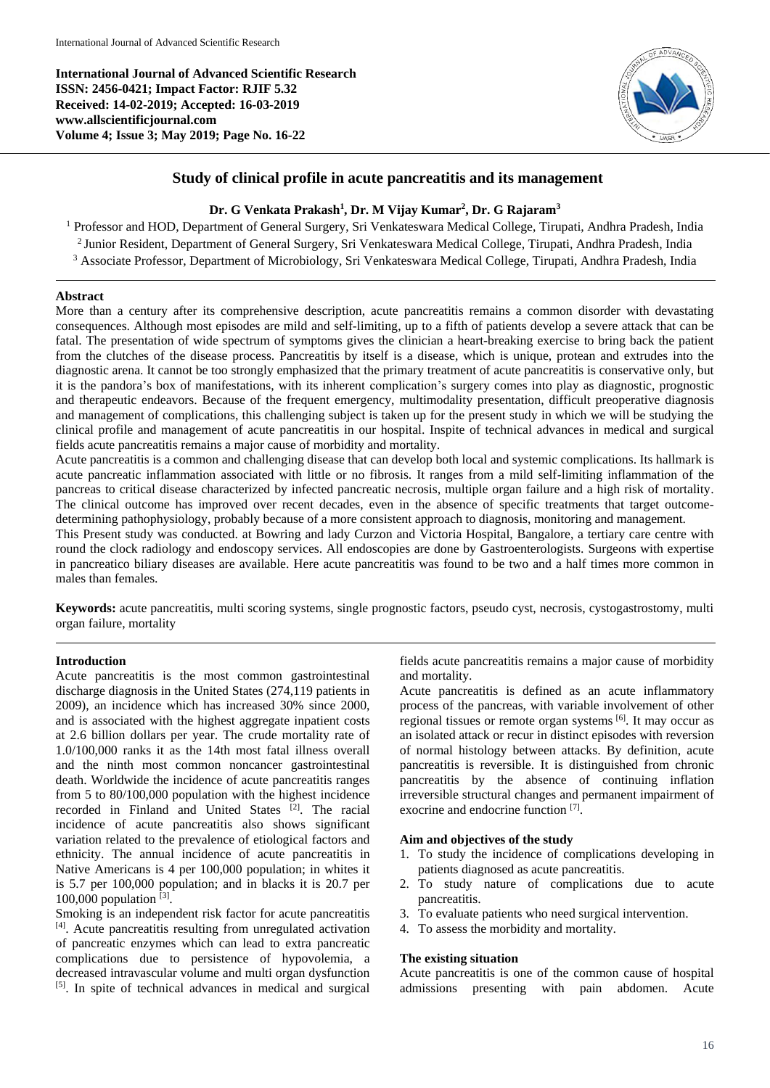**International Journal of Advanced Scientific Research ISSN: 2456-0421; Impact Factor: RJIF 5.32 Received: 14-02-2019; Accepted: 16-03-2019 www.allscientificjournal.com Volume 4; Issue 3; May 2019; Page No. 16-22**



# **Study of clinical profile in acute pancreatitis and its management**

## **Dr. G Venkata Prakash<sup>1</sup> , Dr. M Vijay Kumar<sup>2</sup> , Dr. G Rajaram<sup>3</sup>**

<sup>1</sup> Professor and HOD, Department of General Surgery, Sri Venkateswara Medical College, Tirupati, Andhra Pradesh, India 2 Junior Resident, Department of General Surgery, Sri Venkateswara Medical College, Tirupati, Andhra Pradesh, India <sup>3</sup> Associate Professor, Department of Microbiology, Sri Venkateswara Medical College, Tirupati, Andhra Pradesh, India

### **Abstract**

More than a century after its comprehensive description, acute pancreatitis remains a common disorder with devastating consequences. Although most episodes are mild and self-limiting, up to a fifth of patients develop a severe attack that can be fatal. The presentation of wide spectrum of symptoms gives the clinician a heart-breaking exercise to bring back the patient from the clutches of the disease process. Pancreatitis by itself is a disease, which is unique, protean and extrudes into the diagnostic arena. It cannot be too strongly emphasized that the primary treatment of acute pancreatitis is conservative only, but it is the pandora's box of manifestations, with its inherent complication's surgery comes into play as diagnostic, prognostic and therapeutic endeavors. Because of the frequent emergency, multimodality presentation, difficult preoperative diagnosis and management of complications, this challenging subject is taken up for the present study in which we will be studying the clinical profile and management of acute pancreatitis in our hospital. Inspite of technical advances in medical and surgical fields acute pancreatitis remains a major cause of morbidity and mortality.

Acute pancreatitis is a common and challenging disease that can develop both local and systemic complications. Its hallmark is acute pancreatic inflammation associated with little or no fibrosis. It ranges from a mild self-limiting inflammation of the pancreas to critical disease characterized by infected pancreatic necrosis, multiple organ failure and a high risk of mortality. The clinical outcome has improved over recent decades, even in the absence of specific treatments that target outcomedetermining pathophysiology, probably because of a more consistent approach to diagnosis, monitoring and management.

This Present study was conducted. at Bowring and lady Curzon and Victoria Hospital, Bangalore, a tertiary care centre with round the clock radiology and endoscopy services. All endoscopies are done by Gastroenterologists. Surgeons with expertise in pancreatico biliary diseases are available. Here acute pancreatitis was found to be two and a half times more common in males than females.

**Keywords:** acute pancreatitis, multi scoring systems, single prognostic factors, pseudo cyst, necrosis, cystogastrostomy, multi organ failure, mortality

## **Introduction**

Acute pancreatitis is the most common gastrointestinal discharge diagnosis in the United States (274,119 patients in 2009), an incidence which has increased 30% since 2000, and is associated with the highest aggregate inpatient costs at 2.6 billion dollars per year. The crude mortality rate of 1.0/100,000 ranks it as the 14th most fatal illness overall and the ninth most common noncancer gastrointestinal death. Worldwide the incidence of acute pancreatitis ranges from 5 to 80/100,000 population with the highest incidence recorded in Finland and United States [2]. The racial incidence of acute pancreatitis also shows significant variation related to the prevalence of etiological factors and ethnicity. The annual incidence of acute pancreatitis in Native Americans is 4 per 100,000 population; in whites it is 5.7 per 100,000 population; and in blacks it is 20.7 per  $100,000$  population  $^{[3]}$ .

Smoking is an independent risk factor for acute pancreatitis [4] . Acute pancreatitis resulting from unregulated activation of pancreatic enzymes which can lead to extra pancreatic complications due to persistence of hypovolemia, a decreased intravascular volume and multi organ dysfunction [5]. In spite of technical advances in medical and surgical

fields acute pancreatitis remains a major cause of morbidity and mortality.

Acute pancreatitis is defined as an acute inflammatory process of the pancreas, with variable involvement of other regional tissues or remote organ systems [6]. It may occur as an isolated attack or recur in distinct episodes with reversion of normal histology between attacks. By definition, acute pancreatitis is reversible. It is distinguished from chronic pancreatitis by the absence of continuing inflation irreversible structural changes and permanent impairment of exocrine and endocrine function [7].

#### **Aim and objectives of the study**

- 1. To study the incidence of complications developing in patients diagnosed as acute pancreatitis.
- 2. To study nature of complications due to acute pancreatitis.
- 3. To evaluate patients who need surgical intervention.
- 4. To assess the morbidity and mortality.

#### **The existing situation**

Acute pancreatitis is one of the common cause of hospital admissions presenting with pain abdomen. Acute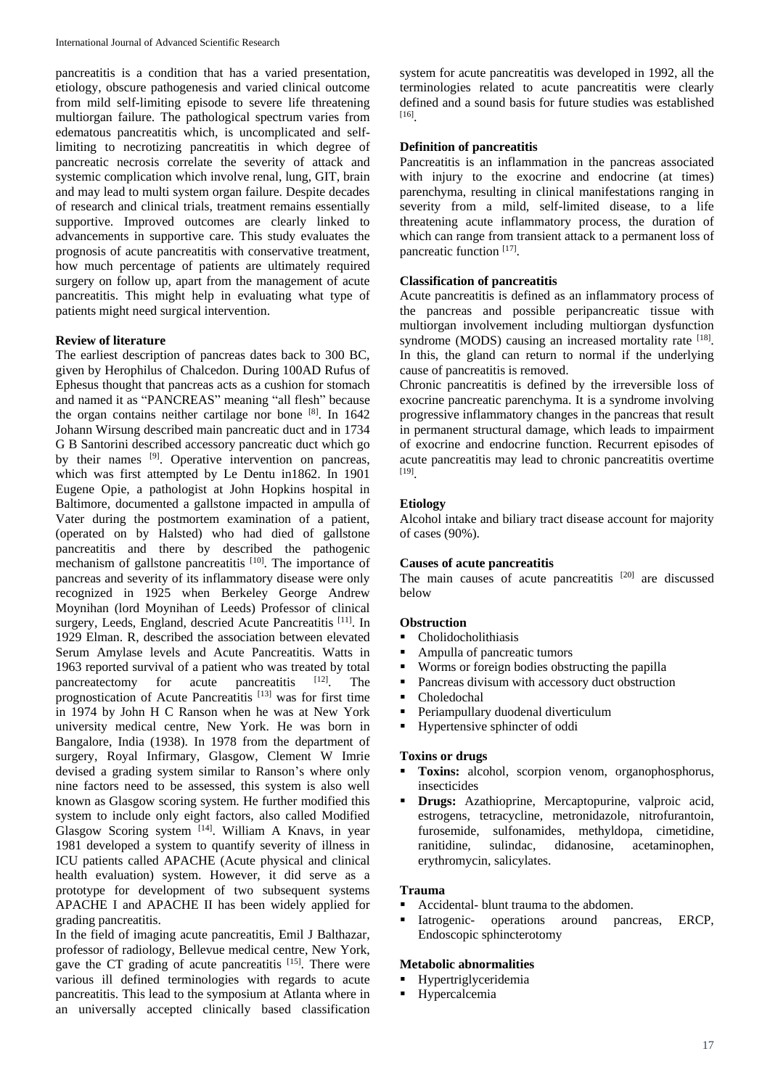pancreatitis is a condition that has a varied presentation, etiology, obscure pathogenesis and varied clinical outcome from mild self-limiting episode to severe life threatening multiorgan failure. The pathological spectrum varies from edematous pancreatitis which, is uncomplicated and selflimiting to necrotizing pancreatitis in which degree of pancreatic necrosis correlate the severity of attack and systemic complication which involve renal, lung, GIT, brain and may lead to multi system organ failure. Despite decades of research and clinical trials, treatment remains essentially supportive. Improved outcomes are clearly linked to advancements in supportive care. This study evaluates the prognosis of acute pancreatitis with conservative treatment, how much percentage of patients are ultimately required surgery on follow up, apart from the management of acute pancreatitis. This might help in evaluating what type of patients might need surgical intervention.

### **Review of literature**

The earliest description of pancreas dates back to 300 BC, given by Herophilus of Chalcedon. During 100AD Rufus of Ephesus thought that pancreas acts as a cushion for stomach and named it as "PANCREAS" meaning "all flesh" because the organ contains neither cartilage nor bone [8]. In 1642 Johann Wirsung described main pancreatic duct and in 1734 G B Santorini described accessory pancreatic duct which go by their names <sup>[9]</sup>. Operative intervention on pancreas, which was first attempted by Le Dentu in1862. In 1901 Eugene Opie, a pathologist at John Hopkins hospital in Baltimore, documented a gallstone impacted in ampulla of Vater during the postmortem examination of a patient, (operated on by Halsted) who had died of gallstone pancreatitis and there by described the pathogenic mechanism of gallstone pancreatitis  $[10]$ . The importance of pancreas and severity of its inflammatory disease were only recognized in 1925 when Berkeley George Andrew Moynihan (lord Moynihan of Leeds) Professor of clinical surgery, Leeds, England, descried Acute Pancreatitis [11]. In 1929 Elman. R, described the association between elevated Serum Amylase levels and Acute Pancreatitis. Watts in 1963 reported survival of a patient who was treated by total<br>pancreatectomy for acute pancreatitis  $[12]$ . The pancreatectomy for acute pancreatitis <sup>[12]</sup>. The prognostication of Acute Pancreatitis [13] was for first time in 1974 by John H C Ranson when he was at New York university medical centre, New York. He was born in Bangalore, India (1938). In 1978 from the department of surgery, Royal Infirmary, Glasgow, Clement W Imrie devised a grading system similar to Ranson's where only nine factors need to be assessed, this system is also well known as Glasgow scoring system. He further modified this system to include only eight factors, also called Modified Glasgow Scoring system [14]. William A Knavs, in year 1981 developed a system to quantify severity of illness in ICU patients called APACHE (Acute physical and clinical health evaluation) system. However, it did serve as a prototype for development of two subsequent systems APACHE I and APACHE II has been widely applied for grading pancreatitis.

In the field of imaging acute pancreatitis, Emil J Balthazar, professor of radiology, Bellevue medical centre, New York, gave the CT grading of acute pancreatitis [15]. There were various ill defined terminologies with regards to acute pancreatitis. This lead to the symposium at Atlanta where in an universally accepted clinically based classification

system for acute pancreatitis was developed in 1992, all the terminologies related to acute pancreatitis were clearly defined and a sound basis for future studies was established [16] .

# **Definition of pancreatitis**

Pancreatitis is an inflammation in the pancreas associated with injury to the exocrine and endocrine (at times) parenchyma, resulting in clinical manifestations ranging in severity from a mild, self-limited disease, to a life threatening acute inflammatory process, the duration of which can range from transient attack to a permanent loss of pancreatic function [17].

# **Classification of pancreatitis**

Acute pancreatitis is defined as an inflammatory process of the pancreas and possible peripancreatic tissue with multiorgan involvement including multiorgan dysfunction syndrome (MODS) causing an increased mortality rate  $[18]$ . In this, the gland can return to normal if the underlying cause of pancreatitis is removed.

Chronic pancreatitis is defined by the irreversible loss of exocrine pancreatic parenchyma. It is a syndrome involving progressive inflammatory changes in the pancreas that result in permanent structural damage, which leads to impairment of exocrine and endocrine function. Recurrent episodes of acute pancreatitis may lead to chronic pancreatitis overtime [19] .

## **Etiology**

Alcohol intake and biliary tract disease account for majority of cases (90%).

#### **Causes of acute pancreatitis**

The main causes of acute pancreatitis  $[20]$  are discussed below

## **Obstruction**

- **Cholidocholithiasis**
- Ampulla of pancreatic tumors
- Worms or foreign bodies obstructing the papilla
- Pancreas divisum with accessory duct obstruction
- Choledochal
- Periampullary duodenal diverticulum
- **■** Hypertensive sphincter of oddi

#### **Toxins or drugs**

- Toxins: alcohol, scorpion venom, organophosphorus, insecticides
- **Drugs:** Azathioprine, Mercaptopurine, valproic acid, estrogens, tetracycline, metronidazole, nitrofurantoin, furosemide, sulfonamides, methyldopa, cimetidine, ranitidine, sulindac, didanosine, acetaminophen, erythromycin, salicylates.

### **Trauma**

- Accidental- blunt trauma to the abdomen.
- Iatrogenic- operations around pancreas, ERCP, Endoscopic sphincterotomy

## **Metabolic abnormalities**

- **Hypertriglyceridemia**
- **Hypercalcemia**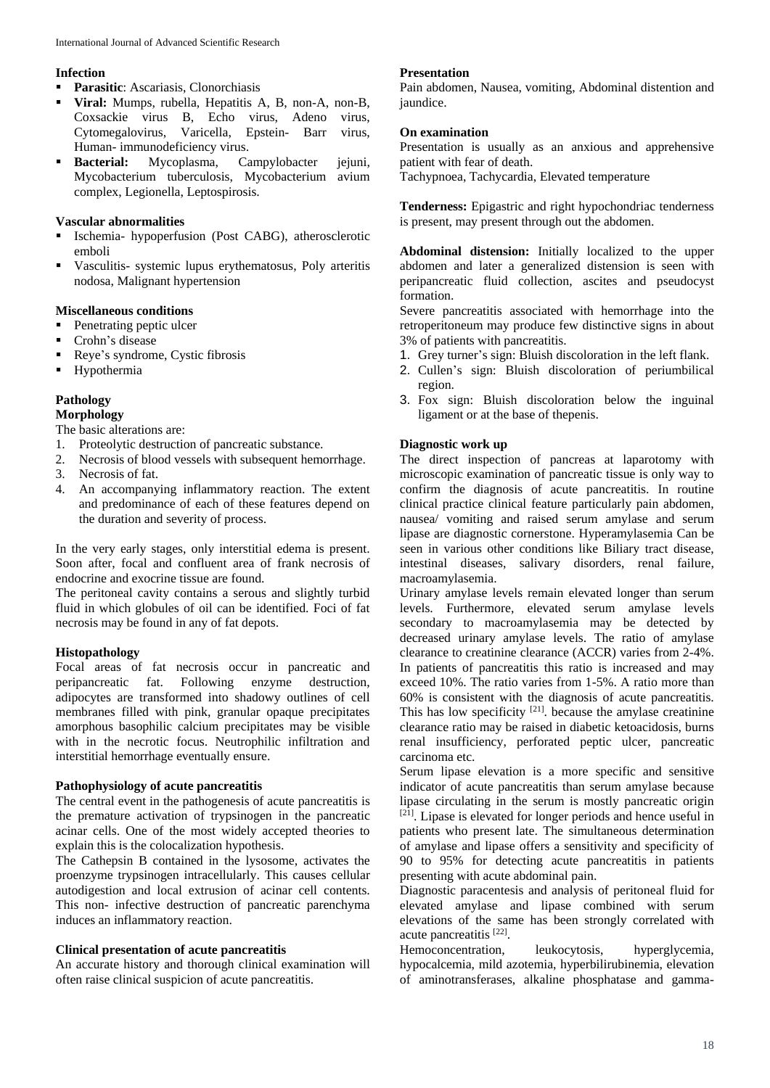## **Infection**

- **Parasitic**: Ascariasis, Clonorchiasis
- **Viral:** Mumps, rubella, Hepatitis A, B, non-A, non-B, Coxsackie virus B, Echo virus, Adeno virus, Cytomegalovirus, Varicella, Epstein- Barr virus, Human- immunodeficiency virus.
- Bacterial: Mycoplasma, Campylobacter jejuni, Mycobacterium tuberculosis, Mycobacterium avium complex, Legionella, Leptospirosis.

## **Vascular abnormalities**

- Ischemia- hypoperfusion (Post CABG), atherosclerotic emboli
- Vasculitis- systemic lupus erythematosus, Poly arteritis nodosa, Malignant hypertension

## **Miscellaneous conditions**

- Penetrating peptic ulcer
- Crohn's disease
- Reye's syndrome, Cystic fibrosis
- **■** Hypothermia

# **Pathology**

# **Morphology**

The basic alterations are:

- 1. Proteolytic destruction of pancreatic substance.
- 2. Necrosis of blood vessels with subsequent hemorrhage.
- 3. Necrosis of fat.
- 4. An accompanying inflammatory reaction. The extent and predominance of each of these features depend on the duration and severity of process.

In the very early stages, only interstitial edema is present. Soon after, focal and confluent area of frank necrosis of endocrine and exocrine tissue are found.

The peritoneal cavity contains a serous and slightly turbid fluid in which globules of oil can be identified. Foci of fat necrosis may be found in any of fat depots.

# **Histopathology**

Focal areas of fat necrosis occur in pancreatic and peripancreatic fat. Following enzyme destruction, adipocytes are transformed into shadowy outlines of cell membranes filled with pink, granular opaque precipitates amorphous basophilic calcium precipitates may be visible with in the necrotic focus. Neutrophilic infiltration and interstitial hemorrhage eventually ensure.

# **Pathophysiology of acute pancreatitis**

The central event in the pathogenesis of acute pancreatitis is the premature activation of trypsinogen in the pancreatic acinar cells. One of the most widely accepted theories to explain this is the colocalization hypothesis.

The Cathepsin B contained in the lysosome, activates the proenzyme trypsinogen intracellularly. This causes cellular autodigestion and local extrusion of acinar cell contents. This non- infective destruction of pancreatic parenchyma induces an inflammatory reaction.

# **Clinical presentation of acute pancreatitis**

An accurate history and thorough clinical examination will often raise clinical suspicion of acute pancreatitis.

# **Presentation**

Pain abdomen, Nausea, vomiting, Abdominal distention and iaundice.

# **On examination**

Presentation is usually as an anxious and apprehensive patient with fear of death.

Tachypnoea, Tachycardia, Elevated temperature

**Tenderness:** Epigastric and right hypochondriac tenderness is present, may present through out the abdomen.

**Abdominal distension:** Initially localized to the upper abdomen and later a generalized distension is seen with peripancreatic fluid collection, ascites and pseudocyst formation.

Severe pancreatitis associated with hemorrhage into the retroperitoneum may produce few distinctive signs in about 3% of patients with pancreatitis.

- 1. Grey turner's sign: Bluish discoloration in the left flank.
- 2. Cullen's sign: Bluish discoloration of periumbilical region.
- 3. Fox sign: Bluish discoloration below the inguinal ligament or at the base of thepenis.

# **Diagnostic work up**

The direct inspection of pancreas at laparotomy with microscopic examination of pancreatic tissue is only way to confirm the diagnosis of acute pancreatitis. In routine clinical practice clinical feature particularly pain abdomen, nausea/ vomiting and raised serum amylase and serum lipase are diagnostic cornerstone. Hyperamylasemia Can be seen in various other conditions like Biliary tract disease, intestinal diseases, salivary disorders, renal failure, macroamylasemia.

Urinary amylase levels remain elevated longer than serum levels. Furthermore, elevated serum amylase levels secondary to macroamylasemia may be detected by decreased urinary amylase levels. The ratio of amylase clearance to creatinine clearance (ACCR) varies from 2-4%. In patients of pancreatitis this ratio is increased and may exceed 10%. The ratio varies from 1-5%. A ratio more than 60% is consistent with the diagnosis of acute pancreatitis. This has low specificity <sup>[21]</sup>. because the amylase creatinine clearance ratio may be raised in diabetic ketoacidosis, burns renal insufficiency, perforated peptic ulcer, pancreatic carcinoma etc.

Serum lipase elevation is a more specific and sensitive indicator of acute pancreatitis than serum amylase because lipase circulating in the serum is mostly pancreatic origin  $[21]$ . Lipase is elevated for longer periods and hence useful in patients who present late. The simultaneous determination of amylase and lipase offers a sensitivity and specificity of 90 to 95% for detecting acute pancreatitis in patients presenting with acute abdominal pain.

Diagnostic paracentesis and analysis of peritoneal fluid for elevated amylase and lipase combined with serum elevations of the same has been strongly correlated with acute pancreatitis [22].

Hemoconcentration, leukocytosis, hyperglycemia, hypocalcemia, mild azotemia, hyperbilirubinemia, elevation of aminotransferases, alkaline phosphatase and gamma-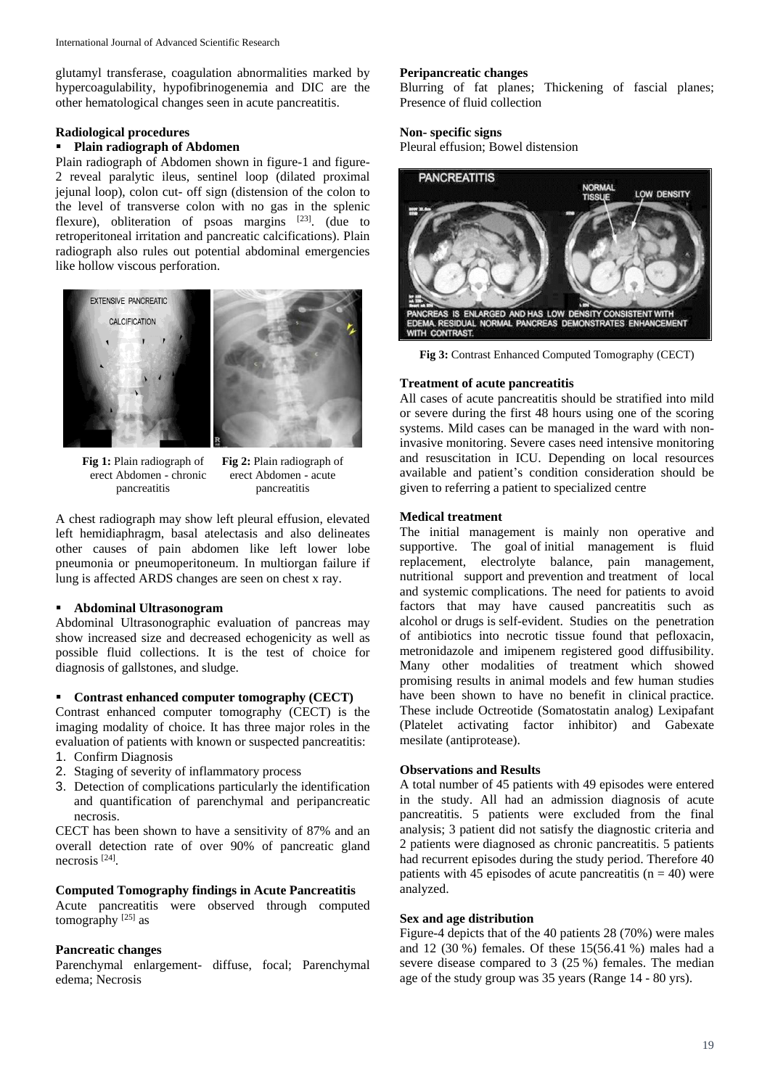glutamyl transferase, coagulation abnormalities marked by hypercoagulability, hypofibrinogenemia and DIC are the other hematological changes seen in acute pancreatitis.

## **Radiological procedures**

# ▪ **Plain radiograph of Abdomen**

Plain radiograph of Abdomen shown in figure-1 and figure-2 reveal paralytic ileus, sentinel loop (dilated proximal jejunal loop), colon cut- off sign (distension of the colon to the level of transverse colon with no gas in the splenic flexure), obliteration of psoas margins  $[23]$ . (due to retroperitoneal irritation and pancreatic calcifications). Plain radiograph also rules out potential abdominal emergencies like hollow viscous perforation.



**Fig 1:** Plain radiograph of **Fig 2:** Plain radiograph of erect Abdomen - chronic erect Abdomen - acute pancreatitis pancreatitis

A chest radiograph may show left pleural effusion, elevated left hemidiaphragm, basal atelectasis and also delineates other causes of pain abdomen like left lower lobe pneumonia or pneumoperitoneum. In multiorgan failure if lung is affected ARDS changes are seen on chest x ray.

## ▪ **Abdominal Ultrasonogram**

Abdominal Ultrasonographic evaluation of pancreas may show increased size and decreased echogenicity as well as possible fluid collections. It is the test of choice for diagnosis of gallstones, and sludge.

## Contrast enhanced computer tomography (CECT)

Contrast enhanced computer tomography (CECT) is the imaging modality of choice. It has three major roles in the evaluation of patients with known or suspected pancreatitis:

- 1. Confirm Diagnosis
- 2. Staging of severity of inflammatory process
- 3. Detection of complications particularly the identification and quantification of parenchymal and peripancreatic necrosis.

CECT has been shown to have a sensitivity of 87% and an overall detection rate of over 90% of pancreatic gland necrosis [24] .

## **Computed Tomography findings in Acute Pancreatitis**

Acute pancreatitis were observed through computed tomography  $^{[25]}$  as

## **Pancreatic changes**

Parenchymal enlargement- diffuse, focal; Parenchymal edema; Necrosis

## **Peripancreatic changes**

Blurring of fat planes; Thickening of fascial planes; Presence of fluid collection

## **Non- specific signs**

Pleural effusion; Bowel distension



**Fig 3:** Contrast Enhanced Computed Tomography (CECT)

# **Treatment of acute pancreatitis**

All cases of acute pancreatitis should be stratified into mild or severe during the first 48 hours using one of the scoring systems. Mild cases can be managed in the ward with noninvasive monitoring. Severe cases need intensive monitoring and resuscitation in ICU. Depending on local resources available and patient's condition consideration should be given to referring a patient to specialized centre

## **Medical treatment**

The initial management is mainly non operative and supportive. The goal of initial management is fluid replacement, electrolyte balance, pain management, nutritional support and prevention and treatment of local and systemic complications. The need for patients to avoid factors that may have caused pancreatitis such as alcohol or drugs is self-evident. Studies on the penetration of antibiotics into necrotic tissue found that pefloxacin, metronidazole and imipenem registered good diffusibility. Many other modalities of treatment which showed promising results in animal models and few human studies have been shown to have no benefit in clinical practice. These include Octreotide (Somatostatin analog) Lexipafant (Platelet activating factor inhibitor) and Gabexate mesilate (antiprotease).

# **Observations and Results**

A total number of 45 patients with 49 episodes were entered in the study. All had an admission diagnosis of acute pancreatitis. 5 patients were excluded from the final analysis; 3 patient did not satisfy the diagnostic criteria and 2 patients were diagnosed as chronic pancreatitis. 5 patients had recurrent episodes during the study period. Therefore 40 patients with 45 episodes of acute pancreatitis ( $n = 40$ ) were analyzed.

## **Sex and age distribution**

Figure-4 depicts that of the 40 patients 28 (70%) were males and 12 (30 %) females. Of these 15(56.41 %) males had a severe disease compared to 3 (25 %) females. The median age of the study group was 35 years (Range 14 - 80 yrs).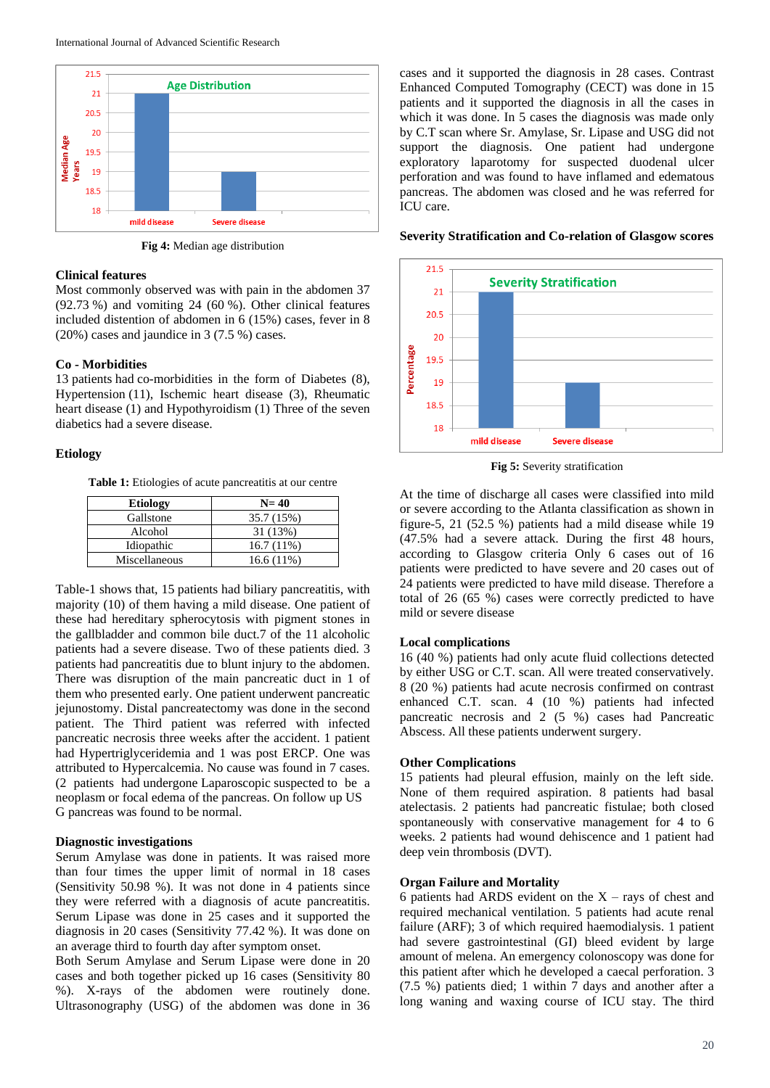

**Fig 4:** Median age distribution

## **Clinical features**

Most commonly observed was with pain in the abdomen 37 (92.73 %) and vomiting 24 (60 %). Other clinical features included distention of abdomen in 6 (15%) cases, fever in 8 (20%) cases and jaundice in 3 (7.5 %) cases.

## **Co - Morbidities**

13 patients had co-morbidities in the form of Diabetes (8), Hypertension (11), Ischemic heart disease (3), Rheumatic heart disease (1) and Hypothyroidism (1) Three of the seven diabetics had a severe disease.

#### **Etiology**

Table 1: Etiologies of acute pancreatitis at our centre

| <b>Etiology</b> | $N=40$       |
|-----------------|--------------|
| Gallstone       | 35.7 (15%)   |
| Alcohol         | 31 (13%)     |
| Idiopathic      | $16.7(11\%)$ |
| Miscellaneous   | $16.6(11\%)$ |

Table-1 shows that, 15 patients had biliary pancreatitis, with majority (10) of them having a mild disease. One patient of these had hereditary spherocytosis with pigment stones in the gallbladder and common bile duct.7 of the 11 alcoholic patients had a severe disease. Two of these patients died. 3 patients had pancreatitis due to blunt injury to the abdomen. There was disruption of the main pancreatic duct in 1 of them who presented early. One patient underwent pancreatic jejunostomy. Distal pancreatectomy was done in the second patient. The Third patient was referred with infected pancreatic necrosis three weeks after the accident. 1 patient had Hypertriglyceridemia and 1 was post ERCP. One was attributed to Hypercalcemia. No cause was found in 7 cases. (2 patients had undergone Laparoscopic suspected to be a neoplasm or focal edema of the pancreas. On follow up US G pancreas was found to be normal.

## **Diagnostic investigations**

Serum Amylase was done in patients. It was raised more than four times the upper limit of normal in 18 cases (Sensitivity 50.98 %). It was not done in 4 patients since they were referred with a diagnosis of acute pancreatitis. Serum Lipase was done in 25 cases and it supported the diagnosis in 20 cases (Sensitivity 77.42 %). It was done on an average third to fourth day after symptom onset.

Both Serum Amylase and Serum Lipase were done in 20 cases and both together picked up 16 cases (Sensitivity 80 %). X-rays of the abdomen were routinely done. Ultrasonography (USG) of the abdomen was done in 36 cases and it supported the diagnosis in 28 cases. Contrast Enhanced Computed Tomography (CECT) was done in 15 patients and it supported the diagnosis in all the cases in which it was done. In 5 cases the diagnosis was made only by C.T scan where Sr. Amylase, Sr. Lipase and USG did not support the diagnosis. One patient had undergone exploratory laparotomy for suspected duodenal ulcer perforation and was found to have inflamed and edematous pancreas. The abdomen was closed and he was referred for ICU care.



**Severity Stratification and Co-relation of Glasgow scores**

**Fig 5:** Severity stratification

At the time of discharge all cases were classified into mild or severe according to the Atlanta classification as shown in figure-5, 21 (52.5 %) patients had a mild disease while  $19$ (47.5% had a severe attack. During the first 48 hours, according to Glasgow criteria Only 6 cases out of 16 patients were predicted to have severe and 20 cases out of 24 patients were predicted to have mild disease. Therefore a total of 26 (65 %) cases were correctly predicted to have mild or severe disease

#### **Local complications**

16 (40 %) patients had only acute fluid collections detected by either USG or C.T. scan. All were treated conservatively. 8 (20 %) patients had acute necrosis confirmed on contrast enhanced C.T. scan. 4 (10 %) patients had infected pancreatic necrosis and 2 (5 %) cases had Pancreatic Abscess. All these patients underwent surgery.

#### **Other Complications**

15 patients had pleural effusion, mainly on the left side. None of them required aspiration. 8 patients had basal atelectasis. 2 patients had pancreatic fistulae; both closed spontaneously with conservative management for 4 to 6 weeks. 2 patients had wound dehiscence and 1 patient had deep vein thrombosis (DVT).

# **Organ Failure and Mortality**

6 patients had ARDS evident on the  $X$  – rays of chest and required mechanical ventilation. 5 patients had acute renal failure (ARF); 3 of which required haemodialysis. 1 patient had severe gastrointestinal (GI) bleed evident by large amount of melena. An emergency colonoscopy was done for this patient after which he developed a caecal perforation. 3 (7.5 %) patients died; 1 within 7 days and another after a long waning and waxing course of ICU stay. The third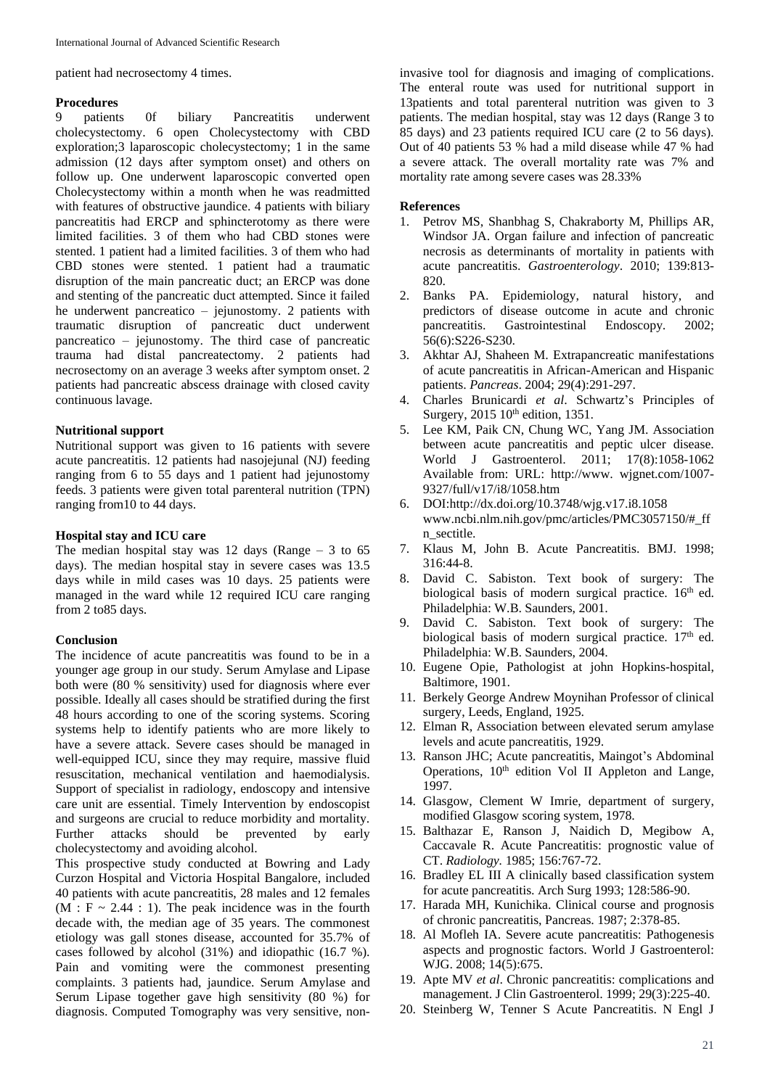patient had necrosectomy 4 times.

#### **Procedures**

9 patients 0f biliary Pancreatitis underwent cholecystectomy. 6 open Cholecystectomy with CBD exploration;3 laparoscopic cholecystectomy; 1 in the same admission (12 days after symptom onset) and others on follow up. One underwent laparoscopic converted open Cholecystectomy within a month when he was readmitted with features of obstructive jaundice. 4 patients with biliary pancreatitis had ERCP and sphincterotomy as there were limited facilities. 3 of them who had CBD stones were stented. 1 patient had a limited facilities. 3 of them who had CBD stones were stented. 1 patient had a traumatic disruption of the main pancreatic duct; an ERCP was done and stenting of the pancreatic duct attempted. Since it failed he underwent pancreatico – jejunostomy. 2 patients with traumatic disruption of pancreatic duct underwent pancreatico – jejunostomy. The third case of pancreatic trauma had distal pancreatectomy. 2 patients had necrosectomy on an average 3 weeks after symptom onset. 2 patients had pancreatic abscess drainage with closed cavity continuous lavage.

### **Nutritional support**

Nutritional support was given to 16 patients with severe acute pancreatitis. 12 patients had nasojejunal (NJ) feeding ranging from 6 to 55 days and 1 patient had jejunostomy feeds. 3 patients were given total parenteral nutrition (TPN) ranging from10 to 44 days.

#### **Hospital stay and ICU care**

The median hospital stay was 12 days (Range  $-3$  to 65 days). The median hospital stay in severe cases was 13.5 days while in mild cases was 10 days. 25 patients were managed in the ward while 12 required ICU care ranging from 2 to85 days.

#### **Conclusion**

The incidence of acute pancreatitis was found to be in a younger age group in our study. Serum Amylase and Lipase both were (80 % sensitivity) used for diagnosis where ever possible. Ideally all cases should be stratified during the first 48 hours according to one of the scoring systems. Scoring systems help to identify patients who are more likely to have a severe attack. Severe cases should be managed in well-equipped ICU, since they may require, massive fluid resuscitation, mechanical ventilation and haemodialysis. Support of specialist in radiology, endoscopy and intensive care unit are essential. Timely Intervention by endoscopist and surgeons are crucial to reduce morbidity and mortality. Further attacks should be prevented by early cholecystectomy and avoiding alcohol.

This prospective study conducted at Bowring and Lady Curzon Hospital and Victoria Hospital Bangalore, included 40 patients with acute pancreatitis, 28 males and 12 females  $(M : F \sim 2.44 : 1)$ . The peak incidence was in the fourth decade with, the median age of 35 years. The commonest etiology was gall stones disease, accounted for 35.7% of cases followed by alcohol (31%) and idiopathic (16.7 %). Pain and vomiting were the commonest presenting complaints. 3 patients had, jaundice. Serum Amylase and Serum Lipase together gave high sensitivity (80 %) for diagnosis. Computed Tomography was very sensitive, non-

invasive tool for diagnosis and imaging of complications. The enteral route was used for nutritional support in 13patients and total parenteral nutrition was given to 3 patients. The median hospital, stay was 12 days (Range 3 to 85 days) and 23 patients required ICU care (2 to 56 days). Out of 40 patients 53 % had a mild disease while 47 % had a severe attack. The overall mortality rate was 7% and mortality rate among severe cases was 28.33%

#### **References**

- 1. Petrov MS, Shanbhag S, Chakraborty M, Phillips AR, Windsor JA. Organ failure and infection of pancreatic necrosis as determinants of mortality in patients with acute pancreatitis. *Gastroenterology*. 2010; 139:813- 820.
- 2. Banks PA. Epidemiology, natural history, and predictors of disease outcome in acute and chronic pancreatitis. Gastrointestinal Endoscopy*.* 2002; 56(6):S226-S230.
- 3. Akhtar AJ, Shaheen M. Extrapancreatic manifestations of acute pancreatitis in African-American and Hispanic patients. *Pancreas*. 2004; 29(4):291-297.
- 4. Charles Brunicardi *et al*. Schwartz's Principles of Surgery, 2015 10<sup>th</sup> edition, 1351.
- 5. Lee KM, Paik CN, Chung WC, Yang JM. Association between acute pancreatitis and peptic ulcer disease. World J Gastroenterol. 2011; 17(8):1058-1062 Available from: URL: http://www. wjgnet.com/1007- 9327/full/v17/i8/1058.htm
- 6. DOI:http://dx.doi.org/10.3748/wjg.v17.i8.1058 www.ncbi.nlm.nih.gov/pmc/articles/PMC3057150/#\_ff n\_sectitle.
- 7. Klaus M, John B. Acute Pancreatitis. BMJ. 1998; 316:44-8.
- 8. David C. Sabiston. Text book of surgery: The biological basis of modern surgical practice.  $16<sup>th</sup>$  ed. Philadelphia: W.B. Saunders, 2001.
- 9. David C. Sabiston. Text book of surgery: The biological basis of modern surgical practice.  $17<sup>th</sup>$  ed. Philadelphia: W.B. Saunders, 2004.
- 10. Eugene Opie, Pathologist at john Hopkins-hospital, Baltimore, 1901.
- 11. Berkely George Andrew Moynihan Professor of clinical surgery, Leeds, England, 1925.
- 12. Elman R, Association between elevated serum amylase levels and acute pancreatitis, 1929.
- 13. Ranson JHC; Acute pancreatitis, Maingot's Abdominal Operations, 10<sup>th</sup> edition Vol II Appleton and Lange, 1997.
- 14. Glasgow, Clement W Imrie, department of surgery, modified Glasgow scoring system, 1978.
- 15. Balthazar E, Ranson J, Naidich D, Megibow A, Caccavale R. Acute Pancreatitis: prognostic value of CT. *Radiology.* 1985; 156:767-72.
- 16. Bradley EL III A clinically based classification system for acute pancreatitis. Arch Surg 1993; 128:586-90.
- 17. Harada MH, Kunichika. Clinical course and prognosis of chronic pancreatitis, Pancreas. 1987; 2:378-85.
- 18. Al Mofleh IA. Severe acute pancreatitis: Pathogenesis aspects and prognostic factors. World J Gastroenterol: WJG. 2008; 14(5):675.
- 19. Apte MV *et al*. Chronic pancreatitis: complications and management. J Clin Gastroenterol. 1999; 29(3):225-40.
- 20. Steinberg W, Tenner S Acute Pancreatitis. N Engl J